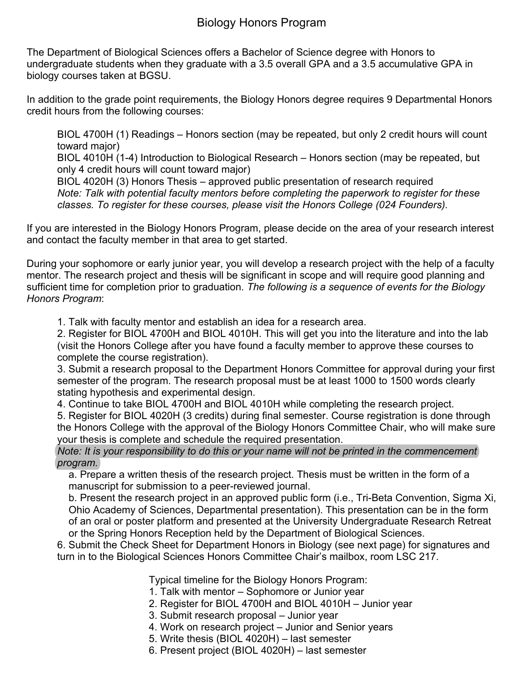## Biology Honors Program

The Department of Biological Sciences offers a Bachelor of Science degree with Honors to undergraduate students when they graduate with a 3.5 overall GPA and a 3.5 accumulative GPA in biology courses taken at BGSU.

In addition to the grade point requirements, the Biology Honors degree requires 9 Departmental Honors credit hours from the following courses:

BIOL 4700H (1) Readings – Honors section (may be repeated, but only 2 credit hours will count toward major)

BIOL 4010H (1-4) Introduction to Biological Research – Honors section (may be repeated, but only 4 credit hours will count toward major)

BIOL 4020H (3) Honors Thesis – approved public presentation of research required *Note: Talk with potential faculty mentors before completing the paperwork to register for these classes. To register for these courses, please visit the Honors College (024 Founders).*

If you are interested in the Biology Honors Program, please decide on the area of your research interest and contact the faculty member in that area to get started.

During your sophomore or early junior year, you will develop a research project with the help of a faculty mentor. The research project and thesis will be significant in scope and will require good planning and sufficient time for completion prior to graduation. *The following is a sequence of events for the Biology Honors Program*:

1. Talk with faculty mentor and establish an idea for a research area.

2. Register for BIOL 4700H and BIOL 4010H. This will get you into the literature and into the lab (visit the Honors College after you have found a faculty member to approve these courses to complete the course registration).

3. Submit a research proposal to the Department Honors Committee for approval during your first semester of the program. The research proposal must be at least 1000 to 1500 words clearly stating hypothesis and experimental design.

4. Continue to take BIOL 4700H and BIOL 4010H while completing the research project. 5. Register for BIOL 4020H (3 credits) during final semester. Course registration is done through the Honors College with the approval of the Biology Honors Committee Chair, who will make sure your thesis is complete and schedule the required presentation.

## *Note: It is your responsibility to do this or your name will not be printed in the commencement program.*

a. Prepare a written thesis of the research project. Thesis must be written in the form of a manuscript for submission to a peer-reviewed journal.

b. Present the research project in an approved public form (i.e., Tri-Beta Convention, Sigma Xi, Ohio Academy of Sciences, Departmental presentation). This presentation can be in the form of an oral or poster platform and presented at the University Undergraduate Research Retreat or the Spring Honors Reception held by the Department of Biological Sciences.

6. Submit the Check Sheet for Department Honors in Biology (see next page) for signatures and turn in to the Biological Sciences Honors Committee Chair's mailbox, room LSC 217.

Typical timeline for the Biology Honors Program:

- 1. Talk with mentor Sophomore or Junior year
- 2. Register for BIOL 4700H and BIOL 4010H Junior year
- 3. Submit research proposal Junior year
- 4. Work on research project Junior and Senior years
- 5. Write thesis (BIOL 4020H) last semester
- 6. Present project (BIOL 4020H) last semester